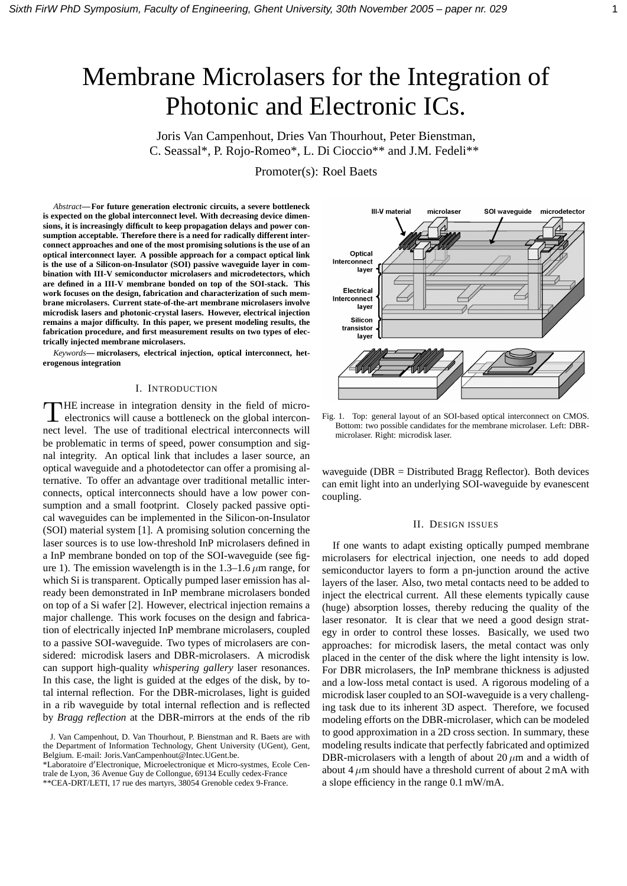# Membrane Microlasers for the Integration of Photonic and Electronic ICs.

Joris Van Campenhout, Dries Van Thourhout, Peter Bienstman, C. Seassal\*, P. Rojo-Romeo\*, L. Di Cioccio\*\* and J.M. Fedeli\*\*

Promoter(s): Roel Baets

*Abstract***— For future generation electronic circuits, a severe bottleneck is expected on the global interconnect level. With decreasing device dimensions, it is increasingly difficult to keep propagation delays and power consumption acceptable. Therefore there is a need for radically different interconnect approaches and one of the most promising solutions is the use of an optical interconnect layer. A possible approach for a compact optical link is the use of a Silicon-on-Insulator (SOI) passive waveguide layer in combination with III-V semiconductor microlasers and microdetectors, which are defined in a III-V membrane bonded on top of the SOI-stack. This work focuses on the design, fabrication and characterization of such membrane microlasers. Current state-of-the-art membrane microlasers involve microdisk lasers and photonic-crystal lasers. However, electrical injection remains a major difficulty. In this paper, we present modeling results, the fabrication procedure, and first measurement results on two types of electrically injected membrane microlasers.**

*Keywords***— microlasers, electrical injection, optical interconnect, heterogenous integration**

#### I. INTRODUCTION

THE increase in integration density in the field of micro-<br>electronics will cause a bottleneck on the global intercon-HE increase in integration density in the field of micronect level. The use of traditional electrical interconnects will be problematic in terms of speed, power consumption and signal integrity. An optical link that includes a laser source, an optical waveguide and a photodetector can offer a promising alternative. To offer an advantage over traditional metallic interconnects, optical interconnects should have a low power consumption and a small footprint. Closely packed passive optical waveguides can be implemented in the Silicon-on-Insulator (SOI) material system [1]. A promising solution concerning the laser sources is to use low-threshold InP microlasers defined in a InP membrane bonded on top of the SOI-waveguide (see figure 1). The emission wavelength is in the  $1.3-1.6 \,\mu m$  range, for which Si is transparent. Optically pumped laser emission has already been demonstrated in InP membrane microlasers bonded on top of a Si wafer [2]. However, electrical injection remains a major challenge. This work focuses on the design and fabrication of electrically injected InP membrane microlasers, coupled to a passive SOI-waveguide. Two types of microlasers are considered: microdisk lasers and DBR-microlasers. A microdisk can support high-quality *whispering gallery* laser resonances. In this case, the light is guided at the edges of the disk, by total internal reflection. For the DBR-microlases, light is guided in a rib waveguide by total internal reflection and is reflected by *Bragg reflection* at the DBR-mirrors at the ends of the rib

\*Laboratoire d'Electronique, Microelectronique et Micro-systmes, Ecole Centrale de Lyon, 36 Avenue Guy de Collongue, 69134 Ecully cedex-France

\*\*CEA-DRT/LETI, 17 rue des martyrs, 38054 Grenoble cedex 9-France.



Fig. 1. Top: general layout of an SOI-based optical interconnect on CMOS. Bottom: two possible candidates for the membrane microlaser. Left: DBRmicrolaser. Right: microdisk laser.

waveguide ( $DBR = Distributed Bragg Reflection$ ). Both devices can emit light into an underlying SOI-waveguide by evanescent coupling.

#### II. DESIGN ISSUES

If one wants to adapt existing optically pumped membrane microlasers for electrical injection, one needs to add doped semiconductor layers to form a pn-junction around the active layers of the laser. Also, two metal contacts need to be added to inject the electrical current. All these elements typically cause (huge) absorption losses, thereby reducing the quality of the laser resonator. It is clear that we need a good design strategy in order to control these losses. Basically, we used two approaches: for microdisk lasers, the metal contact was only placed in the center of the disk where the light intensity is low. For DBR microlasers, the InP membrane thickness is adjusted and a low-loss metal contact is used. A rigorous modeling of a microdisk laser coupled to an SOI-waveguide is a very challenging task due to its inherent 3D aspect. Therefore, we focused modeling efforts on the DBR-microlaser, which can be modeled to good approximation in a 2D cross section. In summary, these modeling results indicate that perfectly fabricated and optimized DBR-microlasers with a length of about 20  $\mu$ m and a width of about 4  $\mu$ m should have a threshold current of about 2 mA with a slope efficiency in the range 0.1 mW/mA.

J. Van Campenhout, D. Van Thourhout, P. Bienstman and R. Baets are with the Department of Information Technology, Ghent University (UGent), Gent, Belgium. E-mail: Joris.VanCampenhout@Intec.UGent.be.